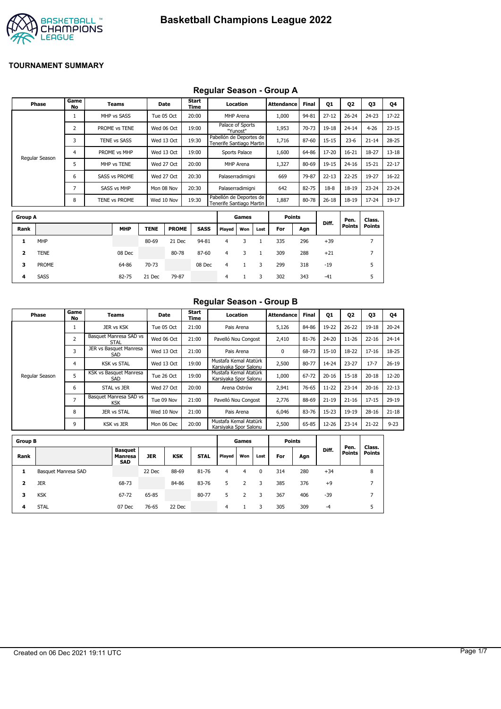

#### **Regular Season - Group A**

| Phase          | Game<br>No | <b>Teams</b>         | Date       | <b>Start</b><br>Time | Location                                            | Attendance | <b>Final</b> | Q1        | Q <sub>2</sub> | Q3        | Q4        |
|----------------|------------|----------------------|------------|----------------------|-----------------------------------------------------|------------|--------------|-----------|----------------|-----------|-----------|
|                |            | MHP vs SASS          | Tue 05 Oct | 20:00                | MHP Arena                                           | 1,000      | 94-81        | $27 - 12$ | $26 - 24$      | $24 - 23$ | $17 - 22$ |
|                | h          | PROME vs TENE        | Wed 06 Oct | 19:00                | Palace of Sports<br>"Yunost"                        | 1,953      | 70-73        | 19-18     | $24 - 14$      | $4 - 26$  | $23 - 15$ |
|                | 3          | <b>TENE vs SASS</b>  | Wed 13 Oct | 19:30                | Pabellón de Deportes de<br>Tenerife Santiago Martin | 1,716      | 87-60        | $15 - 15$ | $23-6$         | $21 - 14$ | 28-25     |
| Regular Season | 4          | PROME vs MHP         | Wed 13 Oct | 19:00                | Sports Palace                                       | 1,600      | 64-86        | 17-20     | $16 - 21$      | 18-27     | $13 - 18$ |
|                |            | MHP vs TENE          | Wed 27 Oct | 20:00                | MHP Arena                                           | 1,327      | 80-69        | 19-15     | $24 - 16$      | $15 - 21$ | $22 - 17$ |
|                | 6          | <b>SASS vs PROME</b> | Wed 27 Oct | 20:30                | Palaserradimigni                                    | 669        | 79-87        | $22 - 13$ | $22 - 25$      | 19-27     | $16 - 22$ |
|                | ⇁          | SASS vs MHP          | Mon 08 Nov | 20:30                | Palaserradimigni                                    | 642        | 82-75        | $18-8$    | 18-19          | $23 - 24$ | $23 - 24$ |
|                | 8          | TENE vs PROME        | Wed 10 Nov | 19:30                | Pabellón de Deportes de<br>Tenerife Santiago Martin | 1,887      | 80-78        | $26 - 18$ | 18-19          | 17-24     | 19-17     |

| <b>Group A</b> |             |            |             |              |             |        | Games |      |     | <b>Points</b> | Diff. | Pen.          | Class.        |
|----------------|-------------|------------|-------------|--------------|-------------|--------|-------|------|-----|---------------|-------|---------------|---------------|
| Rank           |             | <b>MHP</b> | <b>TENE</b> | <b>PROME</b> | <b>SASS</b> | Played | Won   | Lost | For | Agn           |       | <b>Points</b> | <b>Points</b> |
|                | <b>MHP</b>  |            | 80-69       | 21 Dec       | 94-81       | 4      |       |      | 335 | 296           | $+39$ |               |               |
| 2              | <b>TENE</b> | 08 Dec     |             | 80-78        | 87-60       | 4      |       |      | 309 | 288           | $+21$ |               |               |
| 3              | PROME       | 64-86      | $70 - 73$   |              | 08 Dec      | 4      |       | 3    | 299 | 318           | $-19$ |               | 5             |
| 4              | <b>SASS</b> | 82-75      | 21 Dec      | 79-87        |             | 4      |       | 3    | 302 | 343           | $-41$ |               | 5             |

#### **Regular Season - Group B**

| Phase          | Game<br>No     | Teams                                 | Date       | <b>Start</b><br>Time | Location                                       | <b>Attendance</b> | <b>Final</b> | Q1        | Q <sub>2</sub> | Q3        | Q4        |
|----------------|----------------|---------------------------------------|------------|----------------------|------------------------------------------------|-------------------|--------------|-----------|----------------|-----------|-----------|
|                |                | JER vs KSK                            | Tue 05 Oct | 21:00                | Pais Arena                                     | 5,126             | 84-86        | 19-22     | $26 - 22$      | $19 - 18$ | $20 - 24$ |
|                | 2              | Basquet Manresa SAD vs<br><b>STAL</b> | Wed 06 Oct | 21:00                | Pavelló Nou Congost                            | 2,410             | 81-76        | 24-20     | $11 - 26$      | $22 - 16$ | $24 - 14$ |
|                | 3              | JER vs Basquet Manresa<br><b>SAD</b>  | Wed 13 Oct | 21:00                | Pais Arena                                     | $\mathbf{0}$      | 68-73        | $15 - 10$ | 18-22          | $17 - 16$ | 18-25     |
|                | 4              | <b>KSK vs STAL</b>                    | Wed 13 Oct | 19:00                | Mustafa Kemal Atatürk<br>Karsiyaka Spor Salonu | 2,500             | 80-77        | 14-24     | $23 - 27$      | $17 - 7$  | $26 - 19$ |
| Regular Season | 5              | KSK vs Basquet Manresa<br>SAD         | Tue 26 Oct | 19:00                | Mustafa Kemal Atatürk<br>Karsivaka Spor Salonu | 1,000             | 67-72        | $20 - 16$ | $15 - 18$      | $20 - 18$ | $12 - 20$ |
|                | 6              | STAL vs JER                           | Wed 27 Oct | 20:00                | Arena Ostrów                                   | 2,941             | 76-65        | $11-22$   | $23 - 14$      | $20 - 16$ | $22 - 13$ |
|                | $\overline{ }$ | Basquet Manresa SAD vs<br><b>KSK</b>  | Tue 09 Nov | 21:00                | Pavelló Nou Congost                            | 2,776             | 88-69        | $21 - 19$ | $21 - 16$      | $17 - 15$ | 29-19     |
|                | 8              | JER vs STAL                           | Wed 10 Nov | 21:00                | Pais Arena                                     | 6,046             | 83-76        | $15-23$   | 19-19          | $28 - 16$ | $21 - 18$ |
|                | 9              | <b>KSK vs JER</b>                     | Mon 06 Dec | 20:00                | Mustafa Kemal Atatürk<br>Karsiyaka Spor Salonu | 2,500             | 65-85        | 12-26     | $23 - 14$      | $21 - 22$ | $9 - 23$  |

| <b>Group B</b> |                     |                                                |            |            |             |        | Games |      | <b>Points</b> |     |       |                       |                         |
|----------------|---------------------|------------------------------------------------|------------|------------|-------------|--------|-------|------|---------------|-----|-------|-----------------------|-------------------------|
| Rank           |                     | <b>Basquet</b><br><b>Manresa</b><br><b>SAD</b> | <b>JER</b> | <b>KSK</b> | <b>STAL</b> | Played | Won   | Lost | For           | Agn | Diff. | Pen.<br><b>Points</b> | Class.<br><b>Points</b> |
| 1              | Basquet Manresa SAD |                                                | 22 Dec     | 88-69      | 81-76       | 4      | 4     | 0    | 314           | 280 | $+34$ |                       | 8                       |
|                | <b>JER</b>          | 68-73                                          |            | 84-86      | 83-76       | 5      |       | 3    | 385           | 376 | $+9$  |                       |                         |
| 3              | <b>KSK</b>          | 67-72                                          | 65-85      |            | 80-77       | 5.     |       | 3    | 367           | 406 | $-39$ |                       |                         |
| 4              | <b>STAL</b>         | 07 Dec                                         | 76-65      | 22 Dec     |             | 4      |       |      | 305           | 309 | -4    |                       | 5                       |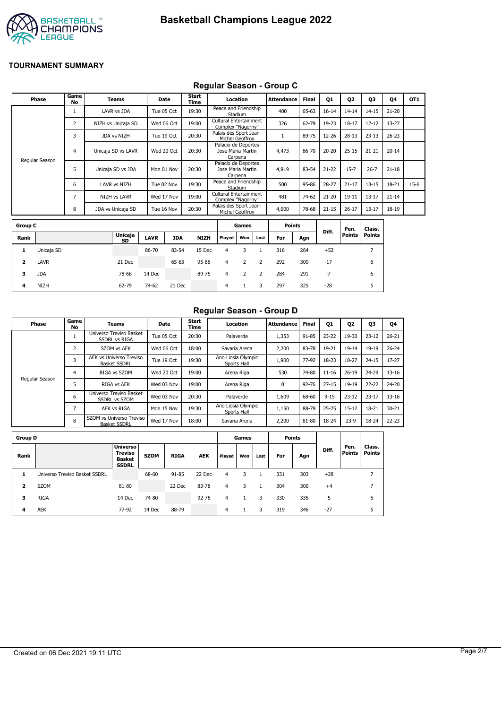

# **Regular Season - Group C**

|                         | Phase          | Game<br><b>No</b> | <b>Teams</b>        |             | Date       | Start<br>Time |                                             | Location                     |                | <b>Attendance</b> | Final | Q1        | Q <sub>2</sub> | Q3             | Q4        | OT <sub>1</sub> |
|-------------------------|----------------|-------------------|---------------------|-------------|------------|---------------|---------------------------------------------|------------------------------|----------------|-------------------|-------|-----------|----------------|----------------|-----------|-----------------|
|                         |                | 1                 | LAVR vs JDA         |             | Tue 05 Oct | 19:30         | Peace and Friendship                        | Stadium                      |                | 400               | 65-63 | $16 - 14$ | $14 - 14$      | $14 - 15$      | $21 - 20$ |                 |
|                         |                | 2                 | NIZH vs Unicaja SD  |             | Wed 06 Oct | 19:00         | Cultural Entertainment<br>Complex "Nagorny" |                              |                | 326               | 62-79 | 19-23     | $18 - 17$      | $12 - 12$      | $13 - 27$ |                 |
|                         |                | 3                 | JDA vs NIZH         |             | Tue 19 Oct | 20:30         | Palais des Sport Jean-                      | Michel Geoffroy              |                | $\mathbf{1}$      | 89-75 | 12-26     | $28 - 13$      | $23 - 13$      | $26 - 23$ |                 |
|                         |                | 4                 | Unicaja SD vs LAVR  |             | Wed 20 Oct | 20:30         | Palacio de Deportes                         | Jose Maria Martin<br>Carpena |                | 4,473             | 86-70 | $20 - 20$ | $25 - 15$      | $21 - 21$      | $20 - 14$ |                 |
|                         | Regular Season | 5                 | Unicaja SD vs JDA   |             | Mon 01 Nov | 20:30         | Palacio de Deportes                         | Jose Maria Martin<br>Carpena |                | 4,919             | 83-54 | $21 - 22$ | $15 - 7$       | $26 - 7$       | $21 - 18$ |                 |
|                         |                | 6                 | LAVR vs NIZH        |             | Tue 02 Nov | 19:30         | Peace and Friendship                        | Stadium                      |                | 500               | 95-86 | 28-27     | $21 - 17$      | $13 - 15$      | 18-21     | $15-6$          |
|                         |                | 7                 | <b>NIZH vs LAVR</b> |             | Wed 17 Nov | 19:00         | Cultural Entertainment<br>Complex "Nagorny" |                              |                | 481               | 74-62 | $21 - 20$ | $19 - 11$      | $13 - 17$      | $21 - 14$ |                 |
|                         |                | 8                 | JDA vs Unicaja SD   |             | Tue 16 Nov | 20:30         | Palais des Sport Jean-                      | Michel Geoffroy              |                | 4,000             | 78-68 | $21 - 15$ | $26 - 17$      | $13 - 17$      | 18-19     |                 |
| <b>Group C</b>          |                |                   |                     |             |            |               |                                             | Games                        |                | <b>Points</b>     |       |           | Pen.           | Class.         |           |                 |
| Rank                    |                |                   | Unicaja<br>SD       | <b>LAVR</b> | <b>JDA</b> | <b>NIZH</b>   | Played                                      | Won                          | Lost           | For               | Agn   | Diff.     | <b>Points</b>  | <b>Points</b>  |           |                 |
| 1                       | Unicaja SD     |                   |                     | 86-70       | 83-54      | 15 Dec        | 4                                           | 3                            | $\mathbf{1}$   | 316               | 264   | $+52$     |                | $\overline{7}$ |           |                 |
| $\overline{\mathbf{2}}$ | <b>LAVR</b>    |                   | 21 Dec              |             | 65-63      | 95-86         | $\overline{4}$                              | $\overline{2}$               | $\overline{2}$ | 292               | 309   | $-17$     |                | 6              |           |                 |
| з                       | <b>JDA</b>     |                   | 78-68               | 14 Dec      |            | 89-75         | $\overline{4}$                              | $\overline{2}$               | $\overline{2}$ | 284               | 291   | $-7$      |                | 6              |           |                 |
| 4                       | <b>NIZH</b>    |                   | 62-79               | 74-62       | 21 Dec     |               | 4                                           | 1                            | 3              | 297               | 325   | $-28$     |                | 5              |           |                 |

### **Regular Season - Group D**

| Phase          | Game<br>No | <b>Teams</b>                                    | Date       | Start<br>Time | Location                          | Attendance  | <b>Final</b> | <b>Q1</b> | Q2        | Q3        | 04        |
|----------------|------------|-------------------------------------------------|------------|---------------|-----------------------------------|-------------|--------------|-----------|-----------|-----------|-----------|
|                |            | Universo Treviso Basket<br><b>SSDRL vs RIGA</b> | Tue 05 Oct | 20:30         | Palaverde                         | 1,353       | 91-85        | $23 - 22$ | 19-30     | $23 - 12$ | $26 - 21$ |
|                | 2          | SZOM vs AEK                                     | Wed 06 Oct | 18:00         | Savaria Arena                     | 2,200       | 83-78        | 19-21     | 19-14     | $19 - 19$ | $26 - 24$ |
|                | 3          | AEK vs Universo Treviso<br><b>Basket SSDRL</b>  | Tue 19 Oct | 19:30         | Ano Liosia Olympic<br>Sports Hall | 1,900       | 77-92        | 18-23     | 18-27     | $24 - 15$ | $17-27$   |
|                | 4          | RIGA vs SZOM                                    | Wed 20 Oct | 19:00         | Arena Riga                        | 530         | 74-80        | $11 - 16$ | $26 - 19$ | 24-29     | $13 - 16$ |
| Regular Season | כ          | RIGA vs AEK                                     | Wed 03 Nov | 19:00         | Arena Riga                        | $\mathbf 0$ | $92 - 76$    | $27 - 15$ | 19-19     | $22 - 22$ | $24 - 20$ |
|                | 6          | Universo Treviso Basket<br><b>SSDRL vs SZOM</b> | Wed 03 Nov | 20:30         | Palaverde                         | 1,609       | 68-60        | $9 - 15$  | $23 - 12$ | $23 - 17$ | $13 - 16$ |
|                | ∍          | <b>AEK vs RIGA</b>                              | Mon 15 Nov | 19:30         | Ano Liosia Olympic<br>Sports Hall | 1,150       | 88-79        | $25 - 25$ | $15 - 12$ | 18-21     | $30 - 21$ |
|                | 8          | SZOM vs Universo Treviso<br><b>Basket SSDRL</b> | Wed 17 Nov | 18:00         | Savaria Arena                     | 2,200       | 81-80        | 18-24     | $23-9$    | 18-24     | $22 - 23$ |

| <b>Group D</b> |                               |                                                                    |             |             |            |                | Games |      | <b>Points</b> |     |       |                       |                         |
|----------------|-------------------------------|--------------------------------------------------------------------|-------------|-------------|------------|----------------|-------|------|---------------|-----|-------|-----------------------|-------------------------|
| Rank           |                               | <b>Universo</b><br><b>Treviso</b><br><b>Basket</b><br><b>SSDRL</b> | <b>SZOM</b> | <b>RIGA</b> | <b>AEK</b> | Played         | Won   | Lost | For           | Agn | Diff. | Pen.<br><b>Points</b> | Class.<br><b>Points</b> |
|                | Universo Treviso Basket SSDRL |                                                                    | 68-60       | $91 - 85$   | 22 Dec     | 4              | 3     |      | 331           | 303 | $+28$ |                       |                         |
| 2              | <b>SZOM</b>                   | 81-80                                                              |             | 22 Dec      | 83-78      | $\overline{4}$ | 3     |      | 304           | 300 | $+4$  |                       | ⇁                       |
| з              | <b>RIGA</b>                   | 14 Dec                                                             | 74-80       |             | $92 - 76$  | 4              |       | 3    | 330           | 335 | -5    |                       | 5                       |
| 4              | <b>AEK</b>                    | 77-92                                                              | 14 Dec      | 88-79       |            | 4              |       |      | 319           | 346 | $-27$ |                       | 5                       |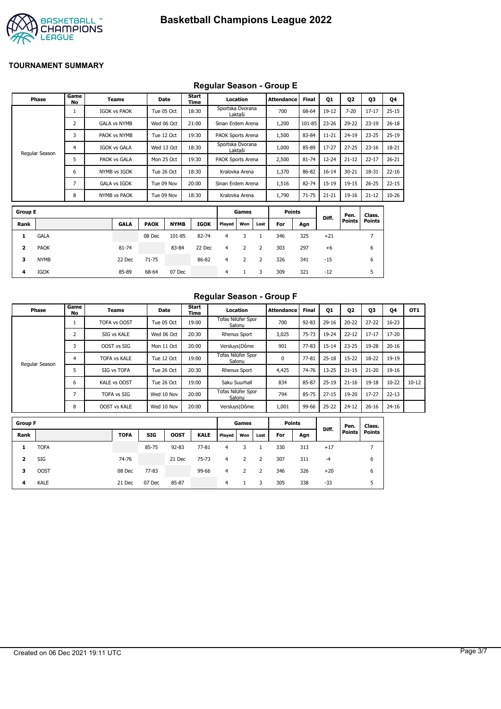

## **Regular Season - Group E**

|                         | Phase          | Game<br>No     | Teams               |             | <b>Date</b> | Start<br>Time |                   | Location       |                | <b>Attendance</b> | <b>Final</b> | 01        | Q <sub>2</sub> | Q3             | Q4        |
|-------------------------|----------------|----------------|---------------------|-------------|-------------|---------------|-------------------|----------------|----------------|-------------------|--------------|-----------|----------------|----------------|-----------|
|                         |                | 1              | <b>IGOK vs PAOK</b> |             | Tue 05 Oct  | 18:30         | Sportska Dvorana  | Laktaši        |                | 700               | 68-64        | $19-12$   | $7 - 20$       | $17 - 17$      | $25 - 15$ |
|                         |                | 2              | <b>GALA vs NYMB</b> |             | Wed 06 Oct  | 21:00         | Sinan Erdem Arena |                |                | 1,200             | 101-85       | 23-26     | 29-22          | $23 - 19$      | $26 - 18$ |
|                         |                | 3              | PAOK vs NYMB        |             | Tue 12 Oct  | 19:30         | PAOK Sports Arena |                |                | 1,500             | 83-84        | $11 - 21$ | $24 - 19$      | $23 - 25$      | $25-19$   |
|                         |                | 4              | <b>IGOK vs GALA</b> |             | Wed 13 Oct  | 18:30         | Sportska Dvorana  | Laktaši        |                | 1,000             | 85-89        | $17-27$   | $27 - 25$      | $23 - 16$      | 18-21     |
|                         | Regular Season | 5              | PAOK vs GALA        |             | Mon 25 Oct  | 19:30         | PAOK Sports Arena |                |                | 2,500             | 81-74        | $12 - 24$ | $21 - 12$      | $22 - 17$      | $26 - 21$ |
|                         |                | 6              | NYMB vs IGOK        |             | Tue 26 Oct  | 18:30         |                   | Kralovka Arena |                | 1,370             | 86-82        | $16 - 14$ | $30 - 21$      | 18-31          | $22 - 16$ |
|                         |                | $\overline{7}$ | <b>GALA vs IGOK</b> |             | Tue 09 Nov  | 20:00         | Sinan Erdem Arena |                |                | 1,516             | 82-74        | 15-19     | $19 - 15$      | $26 - 25$      | $22 - 15$ |
|                         |                | 8              | <b>NYMB vs PAOK</b> |             | Tue 09 Nov  | 18:30         |                   | Kralovka Arena |                | 1,790             | $71 - 75$    | $21 - 21$ | 19-16          | $21 - 12$      | $10 - 26$ |
| <b>Group E</b>          |                |                |                     |             |             |               |                   | Games          |                | <b>Points</b>     |              |           | Pen.           | Class.         |           |
| Rank                    |                |                | <b>GALA</b>         | <b>PAOK</b> | <b>NYMB</b> | <b>IGOK</b>   | Played            | Won            | Lost           | For               | Agn          | Diff.     | <b>Points</b>  | <b>Points</b>  |           |
| 1                       | <b>GALA</b>    |                |                     | 08 Dec      | 101-85      | 82-74         | $\overline{4}$    | 3              | $\mathbf{1}$   | 346               | 325          | $+21$     |                | $\overline{7}$ |           |
| $\overline{\mathbf{2}}$ | <b>PAOK</b>    |                | 81-74               |             | 83-84       | 22 Dec        | $\overline{4}$    | $\overline{2}$ | $\overline{2}$ | 303               | 297          | $+6$      |                | 6              |           |
| з                       | <b>NYMB</b>    |                | 22 Dec              | $71 - 75$   |             | 86-82         | $\overline{4}$    | 2              | 2              | 326               | 341          | $-15$     |                | 6              |           |
| 4                       | IGOK           |                | 85-89               | 68-64       | 07 Dec      |               | $\overline{4}$    | $\mathbf{1}$   | 3              | 309               | 321          | $-12$     |                | 5              |           |

# **Regular Season - Group F**

| Phase          | Game<br>No              | <b>Teams</b>        | Date       | Start<br>Time | Location                            | <b>Attendance</b> | <b>Final</b> | <b>Q1</b> | 02        | <b>Q3</b> | <b>Q4</b> | OT <sub>1</sub> |
|----------------|-------------------------|---------------------|------------|---------------|-------------------------------------|-------------------|--------------|-----------|-----------|-----------|-----------|-----------------|
|                |                         | TOFA vs OOST        | Tue 05 Oct | 19:00         | Tofas Nilüfer Spor<br>Salonu        | 700               | $92 - 83$    | $29-16$   | $20 - 22$ | $27 - 22$ | $16 - 23$ |                 |
|                | $\overline{\mathbf{c}}$ | SIG vs KALE         | Wed 06 Oct | 20:30         | <b>Rhenus Sport</b>                 | 3,025             | $75 - 73$    | 19-24     | $22 - 12$ | $17 - 17$ | 17-20     |                 |
|                | 3                       | OOST vs SIG         | Mon 11 Oct | 20:00         | Versluys   Dôme                     | 901               | $77 - 83$    | $15 - 14$ | $23 - 25$ | 19-28     | $20 - 16$ |                 |
| Regular Season | 4                       | <b>TOFA vs KALE</b> | Tue 12 Oct | 19:00         | Tofas Nilüfer Spor<br>Salonu        | 0                 | $77 - 81$    | $25 - 18$ | $15 - 22$ | 18-22     | 19-19     |                 |
|                | э                       | SIG vs TOFA         | Tue 26 Oct | 20:30         | <b>Rhenus Sport</b>                 | 4,425             | 74-76        | $13 - 25$ | $21 - 15$ | $21 - 20$ | 19-16     |                 |
|                | 6                       | <b>KALE vs OOST</b> | Tue 26 Oct | 19:00         | Saku Suurhall                       | 834               | 85-87        | $25-19$   | $21 - 16$ | 19-18     | $10 - 22$ | $10 - 12$       |
|                |                         | <b>TOFA vs SIG</b>  | Wed 10 Nov | 20:00         | <b>Tofas Nilüfer Spor</b><br>Salonu | 794               | 85-75        | $27 - 15$ | 19-20     | $17 - 27$ | $22 - 13$ |                 |
|                | 8                       | <b>OOST vs KALE</b> | Wed 10 Nov | 20:00         | Versluys   Dôme                     | 1,001             | 99-66        | $25 - 22$ | $24 - 12$ | $26 - 16$ | $24 - 16$ |                 |
|                |                         |                     |            |               |                                     |                   |              |           |           |           |           |                 |

| <b>Group F</b> |             |             |            |             |             |        | Games |      |     | <b>Points</b> | Diff. | Pen.          | Class.        |
|----------------|-------------|-------------|------------|-------------|-------------|--------|-------|------|-----|---------------|-------|---------------|---------------|
| Rank           |             | <b>TOFA</b> | <b>SIG</b> | <b>OOST</b> | <b>KALE</b> | Played | Won   | Lost | For | Agn           |       | <b>Points</b> | <b>Points</b> |
|                | <b>TOFA</b> |             | 85-75      | $92 - 83$   | $77 - 81$   | 4      |       |      | 330 | 313           | $+17$ |               | 7             |
| 2              | SIG         | 74-76       |            | 21 Dec      | $75 - 73$   | 4      |       | 2    | 307 | 311           | -4    |               | 6             |
| з              | <b>OOST</b> | 08 Dec      | 77-83      |             | 99-66       | 4      |       | 2    | 346 | 326           | $+20$ |               | 6             |
| 4              | <b>KALE</b> | 21 Dec      | 07 Dec     | 85-87       |             | 4      |       | 3    | 305 | 338           | -33   |               | 5             |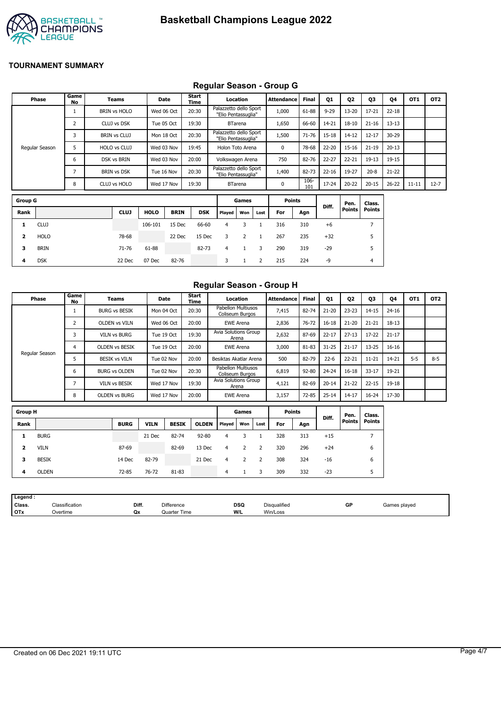

## **Regular Season - Group G**

| Phase          | Game<br>No | Teams               | Date                 | Start<br>Time | Location                                      | <b>Attendance</b> | <b>Final</b> | Q1        | Q <sub>2</sub> | Q3            | Q4        | OT1       | OT2      |
|----------------|------------|---------------------|----------------------|---------------|-----------------------------------------------|-------------------|--------------|-----------|----------------|---------------|-----------|-----------|----------|
|                |            | <b>BRIN vs HOLO</b> | Wed 06 Oct           | 20:30         | Palazzetto dello Sport<br>"Elio Pentassuglia" | 1,000             | 61-88        | $9 - 29$  | 13-20          | $17 - 21$     | $22 - 18$ |           |          |
|                | 2          | CLUJ vs DSK         | Tue 05 Oct           | 19:30         | <b>BTarena</b>                                | 1,650             | 66-60        | $14 - 21$ | $18 - 10$      | $21 - 16$     | $13 - 13$ |           |          |
|                | 3          | <b>BRIN vs CLUJ</b> | Mon 18 Oct           | 20:30         | Palazzetto dello Sport<br>"Elio Pentassuglia" | 1,500             | 71-76        | 15-18     | $14 - 12$      | $12 - 17$     | $30 - 29$ |           |          |
| Regular Season |            | HOLO vs CLUJ        | Wed 03 Nov           | 19:45         | Holon Toto Arena                              | 0                 | 78-68        | 22-20     | $15 - 16$      | $21 - 19$     | $20 - 13$ |           |          |
|                | 6          | DSK vs BRIN         | Wed 03 Nov           | 20:00         | Volkswagen Arena                              | 750               | 82-76        | $22 - 27$ | $22 - 21$      | $19 - 13$     | 19-15     |           |          |
|                |            | <b>BRIN vs DSK</b>  | Tue 16 Nov           | 20:30         | Palazzetto dello Sport<br>"Elio Pentassuglia" | 1,400             | 82-73        | $22 - 16$ | 19-27          | $20 - 8$      | $21 - 22$ |           |          |
|                | 8          | CLUJ vs HOLO        | Wed 17 Nov           | 19:30         | <b>BTarena</b>                                | 0                 | 106-<br>101  | 17-24     | $20 - 22$      | $20 - 15$     | $26 - 22$ | $11 - 11$ | $12 - 7$ |
| <b>Group G</b> |            |                     |                      |               | Games                                         | <b>Points</b>     |              |           | Pen.           | Class.        |           |           |          |
| Rank           |            | <b>CLU1</b>         | HOLO.<br><b>RRTN</b> | <b>DSK</b>    | Played   Won<br>lost                          | For               | Δαn          | Diff.     | Points         | <b>Points</b> |           |           |          |

|      |             |             |             |             |            |        |     |                |     |     | Diff. | ren.          | ciass. |
|------|-------------|-------------|-------------|-------------|------------|--------|-----|----------------|-----|-----|-------|---------------|--------|
| Rank |             | <b>CLUJ</b> | <b>HOLO</b> | <b>BRIN</b> | <b>DSK</b> | Played | Won | Lost           | For | Agn |       | <b>Points</b> | Points |
|      | CLUJ        |             | 106-101     | 15 Dec      | 66-60      | 4      |     |                | 316 | 310 | +6    |               |        |
| 2    | <b>HOLO</b> | 78-68       |             | 22 Dec      | 15 Dec     | 3      |     | $\blacksquare$ | 267 | 235 | $+32$ |               |        |
| з    | BRIN        | 71-76       | 61-88       |             | 82-73      | 4      |     | 3.             | 290 | 319 | $-29$ |               |        |
|      | <b>DSK</b>  | 22 Dec      | 07 Dec      | 82-76       |            |        |     | 2              | 215 | 224 | -9    |               | 4      |

#### **Regular Season - Group H**

| Phase          | Game<br>No | <b>Teams</b>          | Date       | Start<br>Time | Location                                     | Attendance | <b>Final</b> | Q1        | Q <sub>2</sub> | Q3        | 04        | OT <sub>1</sub> | OT <sub>2</sub> |
|----------------|------------|-----------------------|------------|---------------|----------------------------------------------|------------|--------------|-----------|----------------|-----------|-----------|-----------------|-----------------|
|                |            | <b>BURG vs BESIK</b>  | Mon 04 Oct | 20:30         | <b>Pabellon Multiusos</b><br>Coliseum Burgos | 7,415      | 82-74        | $21 - 20$ | $23 - 23$      | $14 - 15$ | $24 - 16$ |                 |                 |
|                |            | <b>OLDEN vs VILN</b>  | Wed 06 Oct | 20:00         | <b>EWE Arena</b>                             | 2,836      | 76-72        | $16 - 18$ | $21 - 20$      | $21 - 21$ | $18 - 13$ |                 |                 |
|                |            | <b>VILN vs BURG</b>   | Tue 19 Oct | 19:30         | Avia Solutions Group<br>Arena                | 2,632      | 87-69        | $22 - 17$ | $27 - 13$      | $17 - 22$ | $21 - 17$ |                 |                 |
| Regular Season |            | <b>OLDEN VS BESIK</b> | Tue 19 Oct | 20:00         | <b>EWE Arena</b>                             | 3,000      | 81-83        | $31 - 25$ | $21 - 17$      | $13 - 25$ | $16 - 16$ |                 |                 |
|                |            | <b>BESIK vs VILN</b>  | Tue 02 Nov | 20:00         | Besiktas Akatlar Arena                       | 500        | 82-79        | $22 - 6$  | $22 - 21$      | $11 - 21$ | 14-21     | $5 - 5$         | $8 - 5$         |
|                | 6          | <b>BURG vs OLDEN</b>  | Tue 02 Nov | 20:30         | Pabellon Multiusos<br>Coliseum Burgos        | 6,819      | $92 - 80$    | $24 - 24$ | $16 - 18$      | $33 - 17$ | 19-21     |                 |                 |
|                |            | <b>VILN vs BESIK</b>  | Wed 17 Nov | 19:30         | Avia Solutions Group<br>Arena                | 4,121      | 82-69        | $20 - 14$ | $21 - 22$      | $22 - 15$ | 19-18     |                 |                 |
|                | 8          | <b>OLDEN vs BURG</b>  | Wed 17 Nov | 20:00         | <b>EWE Arena</b>                             | 3,157      | $72 - 85$    | $25 - 14$ | $14 - 17$      | $16 - 24$ | 17-30     |                 |                 |

| <b>Group H</b> |              |             |             |              |              | Games  |     | <b>Points</b> |     | Diff. | Pen.          | Class. |               |
|----------------|--------------|-------------|-------------|--------------|--------------|--------|-----|---------------|-----|-------|---------------|--------|---------------|
| Rank           |              | <b>BURG</b> | <b>VILN</b> | <b>BESIK</b> | <b>OLDEN</b> | Played | Won | Lost          | For | Agn   | <b>Points</b> |        | <b>Points</b> |
|                | <b>BURG</b>  |             | 21 Dec      | 82-74        | $92 - 80$    | 4      |     |               | 328 | 313   | $+15$         |        |               |
|                | <b>VILN</b>  | 87-69       |             | 82-69        | 13 Dec       | 4      |     |               | 320 | 296   | $+24$         |        | 6             |
| з              | <b>BESIK</b> | 14 Dec      | 82-79       |              | 21 Dec       | 4      |     |               | 308 | 324   | $-16$         |        | 6             |
| 4              | <b>OLDEN</b> | 72-85       | 76-72       | 81-83        |              | 4      |     | 3             | 309 | 332   | $-23$         |        |               |

| Legend     |                                            |       |                     |            |              |              |              |
|------------|--------------------------------------------|-------|---------------------|------------|--------------|--------------|--------------|
| Class.     | $\overline{\phantom{a}}$<br>Classification | Diff. | <b>Difference</b>   | <b>DSQ</b> | Disqualified | GP<br>$\sim$ | Games played |
| <b>OTx</b> | Overtime                                   | Qx    | <b>Quarter Time</b> | W/L        | Win/Loss     |              |              |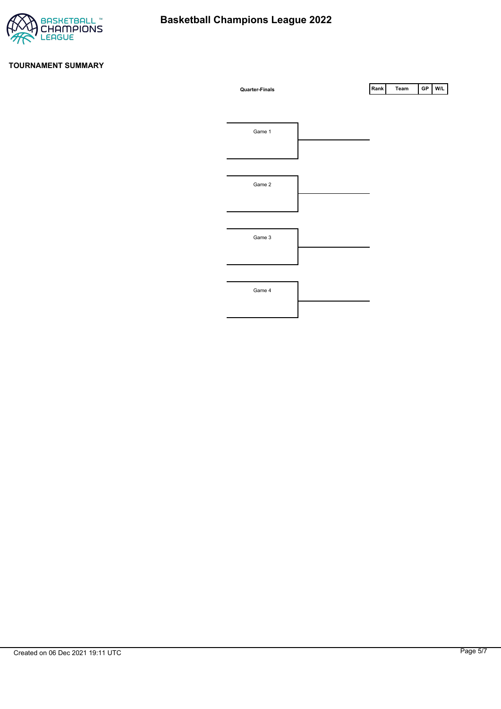

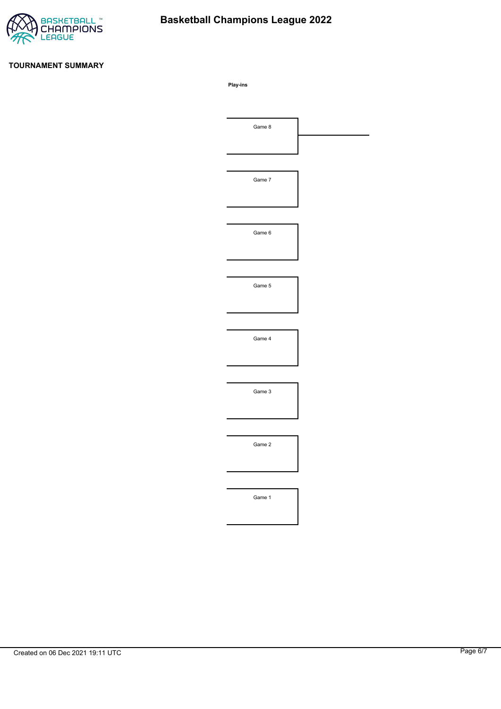

# **Basketball Champions League 2022**

#### **TOURNAMENT SUMMARY**

**Play-ins**

| Game 8 |  |
|--------|--|
|        |  |
|        |  |
| Game 7 |  |
|        |  |
|        |  |
| Game 6 |  |
|        |  |
|        |  |
| Game 5 |  |
|        |  |
|        |  |
| Game 4 |  |
|        |  |
|        |  |
| Game 3 |  |
|        |  |
|        |  |
| Game 2 |  |
|        |  |
|        |  |
| Game 1 |  |
|        |  |
|        |  |